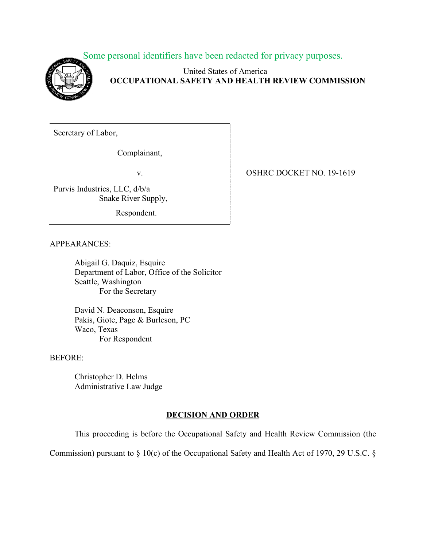Some personal identifiers have been redacted for privacy purposes.



United States of America **OCCUPATIONAL SAFETY AND HEALTH REVIEW COMMISSION**

Secretary of Labor,

Complainant,

Purvis Industries, LLC, d/b/a Snake River Supply,

Respondent.

v. **OSHRC DOCKET NO. 19-1619** 

APPEARANCES:

Abigail G. Daquiz, Esquire Department of Labor, Office of the Solicitor Seattle, Washington For the Secretary

David N. Deaconson, Esquire Pakis, Giote, Page & Burleson, PC Waco, Texas For Respondent

BEFORE:

Christopher D. Helms Administrative Law Judge

# **DECISION AND ORDER**

This proceeding is before the Occupational Safety and Health Review Commission (the

Commission) pursuant to § 10(c) of the Occupational Safety and Health Act of 1970, 29 U.S.C. §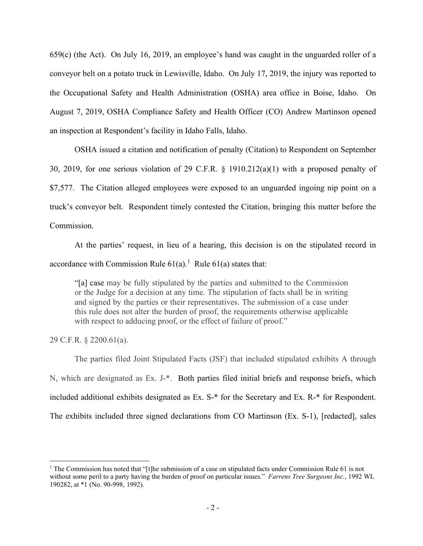659(c) (the Act). On July 16, 2019, an employee's hand was caught in the unguarded roller of a conveyor belt on a potato truck in Lewisville, Idaho. On July 17, 2019, the injury was reported to the Occupational Safety and Health Administration (OSHA) area office in Boise, Idaho. On August 7, 2019, OSHA Compliance Safety and Health Officer (CO) Andrew Martinson opened an inspection at Respondent's facility in Idaho Falls, Idaho.

OSHA issued a citation and notification of penalty (Citation) to Respondent on September 30, 2019, for one serious violation of 29 C.F.R. § 1910.212(a)(1) with a proposed penalty of \$7,577. The Citation alleged employees were exposed to an unguarded ingoing nip point on a truck's conveyor belt. Respondent timely contested the Citation, bringing this matter before the Commission.

At the parties' request, in lieu of a hearing, this decision is on the stipulated record in accordance with Commission Rule  $61(a)$  $61(a)$  $61(a)$ .<sup>1</sup> Rule  $61(a)$  states that:

"[a] case may be fully stipulated by the parties and submitted to the Commission or the Judge for a decision at any time. The stipulation of facts shall be in writing and signed by the parties or their representatives. The submission of a case under this rule does not alter the burden of proof, the requirements otherwise applicable with respect to adducing proof, or the effect of failure of proof."

29 C.F.R. § 2200.61(a).

The parties filed Joint Stipulated Facts (JSF) that included stipulated exhibits A through N, which are designated as Ex. J-\*. Both parties filed initial briefs and response briefs, which included additional exhibits designated as Ex. S-\* for the Secretary and Ex. R-\* for Respondent. The exhibits included three signed declarations from CO Martinson (Ex. S-1), [redacted], sales

<span id="page-1-0"></span><sup>&</sup>lt;sup>1</sup> The Commission has noted that "[t]he submission of a case on stipulated facts under Commission Rule 61 is not without some peril to a party having the burden of proof on particular issues." *Farrens Tree Surgeons Inc.*, 1992 WL 190282, at \*1 (No. 90-998, 1992).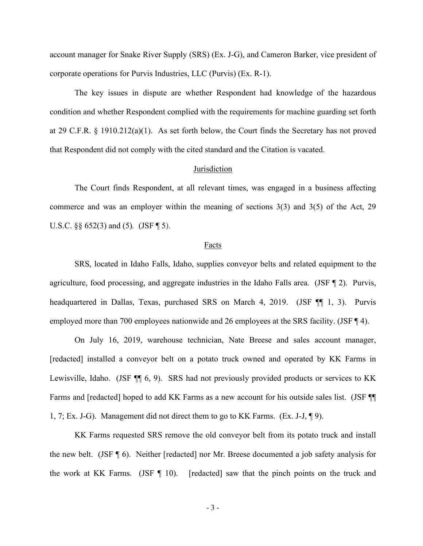account manager for Snake River Supply (SRS) (Ex. J-G), and Cameron Barker, vice president of corporate operations for Purvis Industries, LLC (Purvis) (Ex. R-1).

The key issues in dispute are whether Respondent had knowledge of the hazardous condition and whether Respondent complied with the requirements for machine guarding set forth at 29 C.F.R. § 1910.212(a)(1). As set forth below, the Court finds the Secretary has not proved that Respondent did not comply with the cited standard and the Citation is vacated.

## **Jurisdiction**

The Court finds Respondent, at all relevant times, was engaged in a business affecting commerce and was an employer within the meaning of sections 3(3) and 3(5) of the Act, 29 U.S.C. §§ 652(3) and (5)*.* (JSF ¶ 5).

#### Facts

SRS, located in Idaho Falls, Idaho, supplies conveyor belts and related equipment to the agriculture, food processing, and aggregate industries in the Idaho Falls area. (JSF ¶ 2). Purvis, headquartered in Dallas, Texas, purchased SRS on March 4, 2019. (JSF ¶ 1, 3). Purvis employed more than 700 employees nationwide and 26 employees at the SRS facility. (JSF ¶ 4).

On July 16, 2019, warehouse technician, Nate Breese and sales account manager, [redacted] installed a conveyor belt on a potato truck owned and operated by KK Farms in Lewisville, Idaho. (JSF  $\P$  6, 9). SRS had not previously provided products or services to KK Farms and [redacted] hoped to add KK Farms as a new account for his outside sales list. (JSF ¶¶ 1, 7; Ex. J-G). Management did not direct them to go to KK Farms. (Ex. J-J, ¶ 9).

KK Farms requested SRS remove the old conveyor belt from its potato truck and install the new belt. (JSF ¶ 6). Neither [redacted] nor Mr. Breese documented a job safety analysis for the work at KK Farms. (JSF  $\P$  10). [redacted] saw that the pinch points on the truck and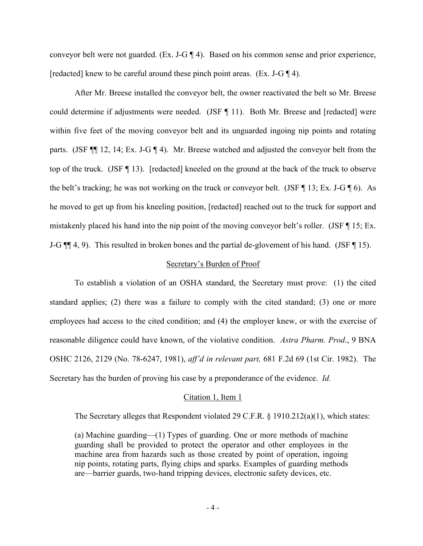conveyor belt were not guarded. (Ex. J-G ¶ 4). Based on his common sense and prior experience, [redacted] knew to be careful around these pinch point areas. (Ex. J-G  $\P$  4).

After Mr. Breese installed the conveyor belt, the owner reactivated the belt so Mr. Breese could determine if adjustments were needed. (JSF ¶ 11). Both Mr. Breese and [redacted] were within five feet of the moving conveyor belt and its unguarded ingoing nip points and rotating parts. (JSF ¶¶ 12, 14; Ex. J-G ¶ 4). Mr. Breese watched and adjusted the conveyor belt from the top of the truck. (JSF ¶ 13). [redacted] kneeled on the ground at the back of the truck to observe the belt's tracking; he was not working on the truck or conveyor belt. (JSF  $\P$  13; Ex. J-G  $\P$  6). As he moved to get up from his kneeling position, [redacted] reached out to the truck for support and mistakenly placed his hand into the nip point of the moving conveyor belt's roller. (JSF ¶ 15; Ex. J-G  $\P\P$  4, 9). This resulted in broken bones and the partial de-glovement of his hand. (JSF  $\P$  15).

### Secretary's Burden of Proof

To establish a violation of an OSHA standard, the Secretary must prove: (1) the cited standard applies; (2) there was a failure to comply with the cited standard; (3) one or more employees had access to the cited condition; and (4) the employer knew, or with the exercise of reasonable diligence could have known, of the violative condition. *Astra Pharm. Prod*., 9 BNA OSHC 2126, 2129 (No. 78-6247, 1981), *aff'd in relevant part,* 681 F.2d 69 (1st Cir. 1982). The Secretary has the burden of proving his case by a preponderance of the evidence. *Id.* 

### Citation 1, Item 1

The Secretary alleges that Respondent violated 29 C.F.R. § 1910.212(a)(1), which states:

(a) Machine guarding—(1) Types of guarding. One or more methods of machine guarding shall be provided to protect the operator and other employees in the machine area from hazards such as those created by point of operation, ingoing nip points, rotating parts, flying chips and sparks. Examples of guarding methods are—barrier guards, two-hand tripping devices, electronic safety devices, etc.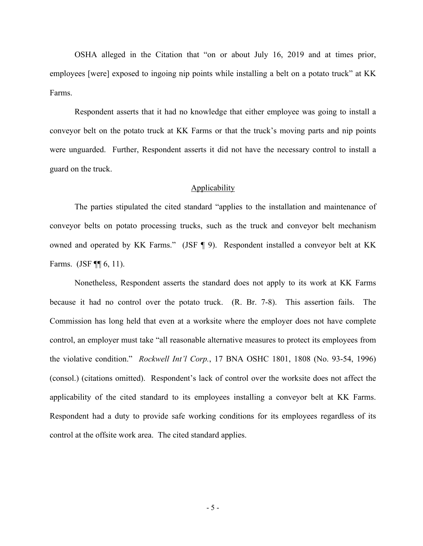OSHA alleged in the Citation that "on or about July 16, 2019 and at times prior, employees [were] exposed to ingoing nip points while installing a belt on a potato truck" at KK Farms.

Respondent asserts that it had no knowledge that either employee was going to install a conveyor belt on the potato truck at KK Farms or that the truck's moving parts and nip points were unguarded. Further, Respondent asserts it did not have the necessary control to install a guard on the truck.

## Applicability

 The parties stipulated the cited standard "applies to the installation and maintenance of conveyor belts on potato processing trucks, such as the truck and conveyor belt mechanism owned and operated by KK Farms." (JSF ¶ 9). Respondent installed a conveyor belt at KK Farms. (JSF ¶¶ 6, 11).

Nonetheless, Respondent asserts the standard does not apply to its work at KK Farms because it had no control over the potato truck. (R. Br. 7-8). This assertion fails. The Commission has long held that even at a worksite where the employer does not have complete control, an employer must take "all reasonable alternative measures to protect its employees from the violative condition." *Rockwell Int'l Corp.*, 17 BNA OSHC 1801, 1808 (No. 93-54, 1996) (consol.) (citations omitted). Respondent's lack of control over the worksite does not affect the applicability of the cited standard to its employees installing a conveyor belt at KK Farms. Respondent had a duty to provide safe working conditions for its employees regardless of its control at the offsite work area. The cited standard applies.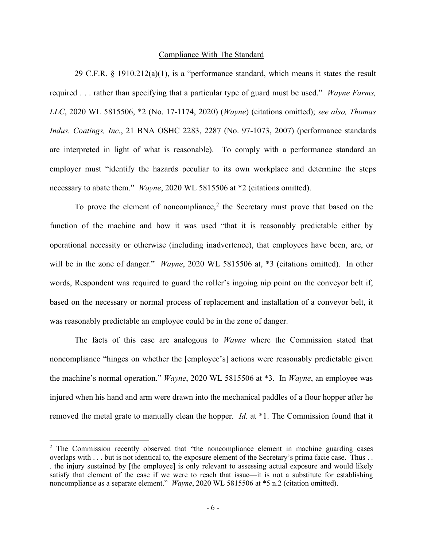### Compliance With The Standard

29 C.F.R.  $\S$  1910.212(a)(1), is a "performance standard, which means it states the result required . . . rather than specifying that a particular type of guard must be used." *Wayne Farms, LLC*, 2020 WL 5815506, \*2 (No. 17-1174, 2020) (*Wayne*) (citations omitted); *see also, Thomas Indus. Coatings, Inc.*, 21 BNA OSHC 2283, 2287 (No. 97-1073, 2007) (performance standards are interpreted in light of what is reasonable). To comply with a performance standard an employer must "identify the hazards peculiar to its own workplace and determine the steps necessary to abate them." *Wayne*, 2020 WL 5815506 at \*2 (citations omitted).

To prove the element of noncompliance, $2$  the Secretary must prove that based on the function of the machine and how it was used "that it is reasonably predictable either by operational necessity or otherwise (including inadvertence), that employees have been, are, or will be in the zone of danger." *Wayne*, 2020 WL 5815506 at, \*3 (citations omitted). In other words, Respondent was required to guard the roller's ingoing nip point on the conveyor belt if, based on the necessary or normal process of replacement and installation of a conveyor belt, it was reasonably predictable an employee could be in the zone of danger.

The facts of this case are analogous to *Wayne* where the Commission stated that noncompliance "hinges on whether the [employee's] actions were reasonably predictable given the machine's normal operation." *Wayne*, 2020 WL 5815506 at \*3. In *Wayne*, an employee was injured when his hand and arm were drawn into the mechanical paddles of a flour hopper after he removed the metal grate to manually clean the hopper. *Id.* at \*1. The Commission found that it

<span id="page-5-0"></span> $2$  The Commission recently observed that "the noncompliance element in machine guarding cases overlaps with . . . but is not identical to, the exposure element of the Secretary's prima facie case. Thus . . . the injury sustained by [the employee] is only relevant to assessing actual exposure and would likely satisfy that element of the case if we were to reach that issue—it is not a substitute for establishing noncompliance as a separate element." *Wayne*, 2020 WL 5815506 at \*5 n.2 (citation omitted).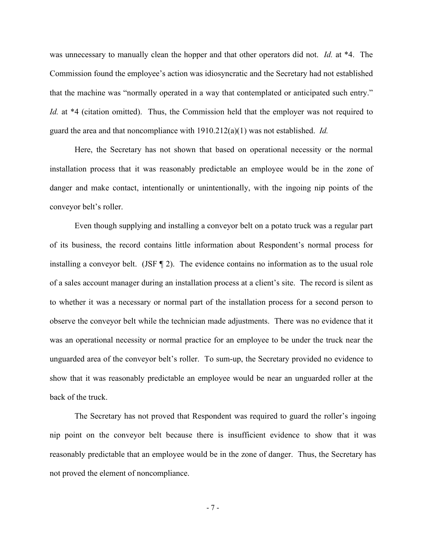was unnecessary to manually clean the hopper and that other operators did not. *Id.* at \*4. The Commission found the employee's action was idiosyncratic and the Secretary had not established that the machine was "normally operated in a way that contemplated or anticipated such entry." *Id.* at \*4 (citation omitted). Thus, the Commission held that the employer was not required to guard the area and that noncompliance with 1910.212(a)(1) was not established. *Id.*

Here, the Secretary has not shown that based on operational necessity or the normal installation process that it was reasonably predictable an employee would be in the zone of danger and make contact, intentionally or unintentionally, with the ingoing nip points of the conveyor belt's roller.

Even though supplying and installing a conveyor belt on a potato truck was a regular part of its business, the record contains little information about Respondent's normal process for installing a conveyor belt.  $(JSF \, \mathcal{I}2)$ . The evidence contains no information as to the usual role of a sales account manager during an installation process at a client's site. The record is silent as to whether it was a necessary or normal part of the installation process for a second person to observe the conveyor belt while the technician made adjustments. There was no evidence that it was an operational necessity or normal practice for an employee to be under the truck near the unguarded area of the conveyor belt's roller. To sum-up, the Secretary provided no evidence to show that it was reasonably predictable an employee would be near an unguarded roller at the back of the truck.

The Secretary has not proved that Respondent was required to guard the roller's ingoing nip point on the conveyor belt because there is insufficient evidence to show that it was reasonably predictable that an employee would be in the zone of danger. Thus, the Secretary has not proved the element of noncompliance.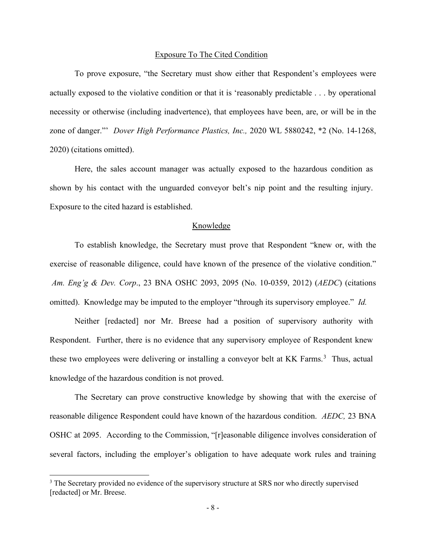## Exposure To The Cited Condition

To prove exposure, "the Secretary must show either that Respondent's employees were actually exposed to the violative condition or that it is 'reasonably predictable . . . by operational necessity or otherwise (including inadvertence), that employees have been, are, or will be in the zone of danger."' *Dover High Performance Plastics, Inc.,* 2020 WL 5880242, \*2 (No. 14-1268, 2020) (citations omitted).

Here, the sales account manager was actually exposed to the hazardous condition as shown by his contact with the unguarded conveyor belt's nip point and the resulting injury. Exposure to the cited hazard is established.

## Knowledge

To establish knowledge, the Secretary must prove that Respondent "knew or, with the exercise of reasonable diligence, could have known of the presence of the violative condition." *Am. Eng'g & Dev. Corp*., 23 BNA OSHC 2093, 2095 (No. 10-0359, 2012) (*AEDC*) (citations omitted). Knowledge may be imputed to the employer "through its supervisory employee." *Id.*

Neither [redacted] nor Mr. Breese had a position of supervisory authority with Respondent. Further, there is no evidence that any supervisory employee of Respondent knew these two employees were delivering or installing a conveyor belt at KK Farms.<sup>[3](#page-7-0)</sup> Thus, actual knowledge of the hazardous condition is not proved.

The Secretary can prove constructive knowledge by showing that with the exercise of reasonable diligence Respondent could have known of the hazardous condition. *AEDC,* 23 BNA OSHC at 2095. According to the Commission, "[r]easonable diligence involves consideration of several factors, including the employer's obligation to have adequate work rules and training

<span id="page-7-0"></span><sup>&</sup>lt;sup>3</sup> The Secretary provided no evidence of the supervisory structure at SRS nor who directly supervised [redacted] or Mr. Breese.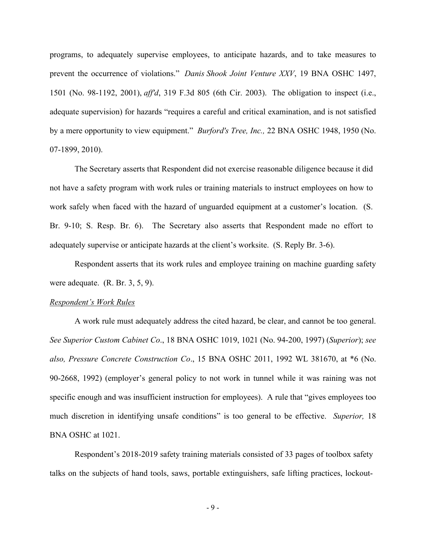programs, to adequately supervise employees, to anticipate hazards, and to take measures to prevent the occurrence of violations." *Danis Shook Joint Venture XXV*, 19 BNA OSHC 1497, 1501 (No. 98-1192, 2001), *aff'd*, 319 F.3d 805 (6th Cir. 2003). The obligation to inspect (i.e., adequate supervision) for hazards "requires a careful and critical examination, and is not satisfied by a mere opportunity to view equipment." *Burford's Tree, Inc.,* 22 BNA OSHC 1948, 1950 (No. 07-1899, 2010).

The Secretary asserts that Respondent did not exercise reasonable diligence because it did not have a safety program with work rules or training materials to instruct employees on how to work safely when faced with the hazard of unguarded equipment at a customer's location. (S. Br. 9-10; S. Resp. Br. 6). The Secretary also asserts that Respondent made no effort to adequately supervise or anticipate hazards at the client's worksite. (S. Reply Br. 3-6).

Respondent asserts that its work rules and employee training on machine guarding safety were adequate. (R. Br. 3, 5, 9).

#### *Respondent's Work Rules*

A work rule must adequately address the cited hazard, be clear, and cannot be too general. *See Superior Custom Cabinet Co*., 18 BNA OSHC 1019, 1021 (No. 94-200, 1997) (*Superior*); *see also, Pressure Concrete Construction Co*., 15 BNA OSHC 2011, 1992 WL 381670, at \*6 (No. 90-2668, 1992) (employer's general policy to not work in tunnel while it was raining was not specific enough and was insufficient instruction for employees). A rule that "gives employees too much discretion in identifying unsafe conditions" is too general to be effective. *Superior,* 18 BNA OSHC at 1021.

Respondent's 2018-2019 safety training materials consisted of 33 pages of toolbox safety talks on the subjects of hand tools, saws, portable extinguishers, safe lifting practices, lockout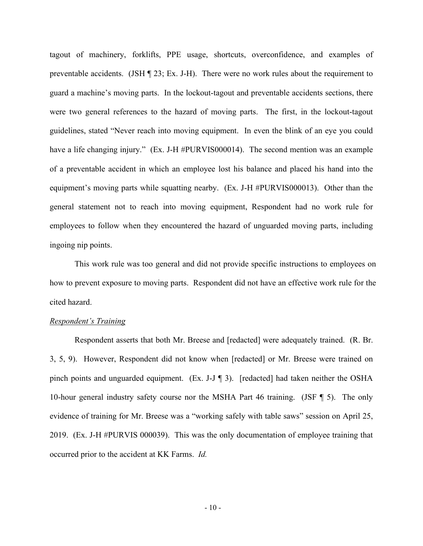tagout of machinery, forklifts, PPE usage, shortcuts, overconfidence, and examples of preventable accidents. (JSH ¶ 23; Ex. J-H). There were no work rules about the requirement to guard a machine's moving parts. In the lockout-tagout and preventable accidents sections, there were two general references to the hazard of moving parts. The first, in the lockout-tagout guidelines, stated "Never reach into moving equipment. In even the blink of an eye you could have a life changing injury." (Ex. J-H #PURVIS000014). The second mention was an example of a preventable accident in which an employee lost his balance and placed his hand into the equipment's moving parts while squatting nearby. (Ex. J-H #PURVIS000013). Other than the general statement not to reach into moving equipment, Respondent had no work rule for employees to follow when they encountered the hazard of unguarded moving parts, including ingoing nip points.

This work rule was too general and did not provide specific instructions to employees on how to prevent exposure to moving parts. Respondent did not have an effective work rule for the cited hazard.

# *Respondent's Training*

Respondent asserts that both Mr. Breese and [redacted] were adequately trained. (R. Br. 3, 5, 9). However, Respondent did not know when [redacted] or Mr. Breese were trained on pinch points and unguarded equipment. (Ex. J-J ¶ 3). [redacted] had taken neither the OSHA 10-hour general industry safety course nor the MSHA Part 46 training. (JSF ¶ 5). The only evidence of training for Mr. Breese was a "working safely with table saws" session on April 25, 2019. (Ex. J-H #PURVIS 000039). This was the only documentation of employee training that occurred prior to the accident at KK Farms. *Id.*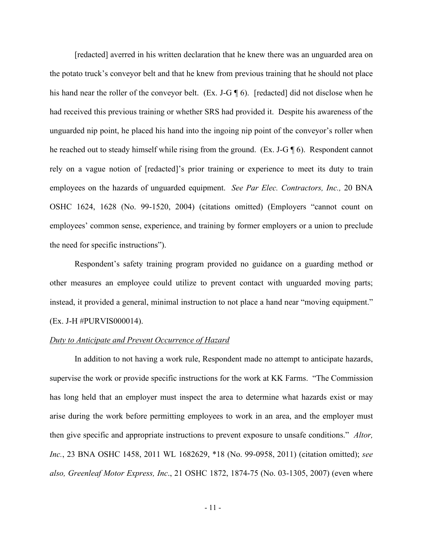[redacted] averred in his written declaration that he knew there was an unguarded area on the potato truck's conveyor belt and that he knew from previous training that he should not place his hand near the roller of the conveyor belt. (Ex. J-G ¶ 6). [redacted] did not disclose when he had received this previous training or whether SRS had provided it. Despite his awareness of the unguarded nip point, he placed his hand into the ingoing nip point of the conveyor's roller when he reached out to steady himself while rising from the ground. (Ex. J-G ¶ 6). Respondent cannot rely on a vague notion of [redacted]'s prior training or experience to meet its duty to train employees on the hazards of unguarded equipment. *See Par Elec. Contractors, Inc.,* 20 BNA OSHC 1624, 1628 (No. 99-1520, 2004) (citations omitted) (Employers "cannot count on employees' common sense, experience, and training by former employers or a union to preclude the need for specific instructions").

Respondent's safety training program provided no guidance on a guarding method or other measures an employee could utilize to prevent contact with unguarded moving parts; instead, it provided a general, minimal instruction to not place a hand near "moving equipment." (Ex. J-H #PURVIS000014).

## *Duty to Anticipate and Prevent Occurrence of Hazard*

In addition to not having a work rule, Respondent made no attempt to anticipate hazards, supervise the work or provide specific instructions for the work at KK Farms. "The Commission has long held that an employer must inspect the area to determine what hazards exist or may arise during the work before permitting employees to work in an area, and the employer must then give specific and appropriate instructions to prevent exposure to unsafe conditions." *Altor, Inc.*, 23 BNA OSHC 1458, 2011 WL 1682629, \*18 (No. 99-0958, 2011) (citation omitted); *see also, Greenleaf Motor Express, Inc*., 21 OSHC 1872, 1874-75 (No. 03-1305, 2007) (even where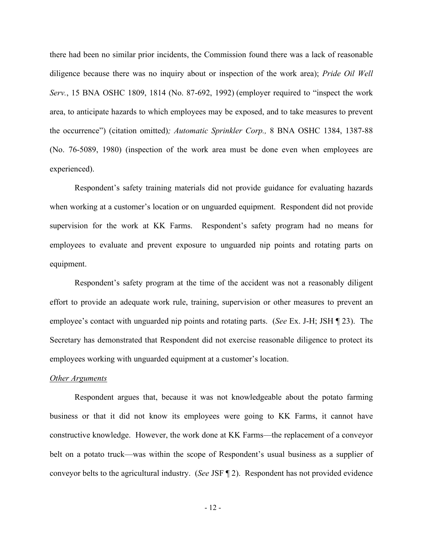there had been no similar prior incidents, the Commission found there was a lack of reasonable diligence because there was no inquiry about or inspection of the work area); *Pride Oil Well Serv.*, 15 BNA OSHC 1809, 1814 (No. 87-692, 1992) (employer required to "inspect the work area, to anticipate hazards to which employees may be exposed, and to take measures to prevent the occurrence") (citation omitted)*; Automatic Sprinkler Corp.,* 8 BNA OSHC 1384, 1387-88 (No. 76-5089, 1980) (inspection of the work area must be done even when employees are experienced).

 Respondent's safety training materials did not provide guidance for evaluating hazards when working at a customer's location or on unguarded equipment. Respondent did not provide supervision for the work at KK Farms. Respondent's safety program had no means for employees to evaluate and prevent exposure to unguarded nip points and rotating parts on equipment.

Respondent's safety program at the time of the accident was not a reasonably diligent effort to provide an adequate work rule, training, supervision or other measures to prevent an employee's contact with unguarded nip points and rotating parts. (*See* Ex. J-H; JSH ¶ 23). The Secretary has demonstrated that Respondent did not exercise reasonable diligence to protect its employees working with unguarded equipment at a customer's location.

#### *Other Arguments*

Respondent argues that, because it was not knowledgeable about the potato farming business or that it did not know its employees were going to KK Farms, it cannot have constructive knowledge. However, the work done at KK Farms—the replacement of a conveyor belt on a potato truck—was within the scope of Respondent's usual business as a supplier of conveyor belts to the agricultural industry. (*See* JSF ¶ 2). Respondent has not provided evidence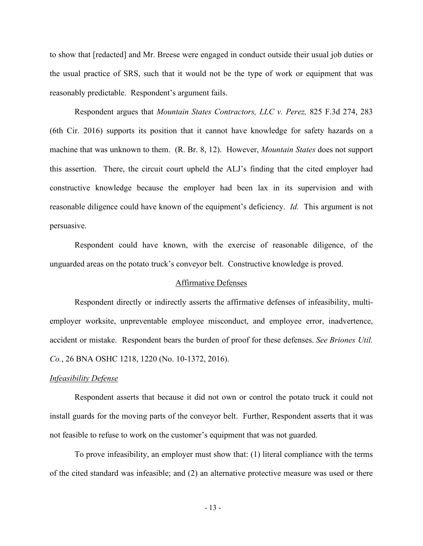to show that [redacted] and Mr. Breese were engaged in conduct outside their usual job duties or the usual practice of SRS, such that it would not be the type of work or equipment that was reasonably predictable. Respondent's argument fails.

Respondent argues that *Mountain States Contractors, LLC v. Perez,* 825 F.3d 274, 283 (6th Cir. 2016) supports its position that it cannot have knowledge for safety hazards on a machine that was unknown to them. (R. Br. 8, 12). However, *Mountain States* does not support this assertion. There, the circuit court upheld the ALJ's finding that the cited employer had constructive knowledge because the employer had been lax in its supervision and with reasonable diligence could have known of the equipment's deficiency. *Id.* This argument is not persuasive.

Respondent could have known, with the exercise of reasonable diligence, of the unguarded areas on the potato truck's conveyor belt. Constructive knowledge is proved.

## Affirmative Defenses

Respondent directly or indirectly asserts the affirmative defenses of infeasibility, multiemployer worksite, unpreventable employee misconduct, and employee error, inadvertence, accident or mistake. Respondent bears the burden of proof for these defenses. *See Briones Util. Co.*, 26 BNA OSHC 1218, 1220 (No. 10-1372, 2016).

#### *Infeasibility Defense*

Respondent asserts that because it did not own or control the potato truck it could not install guards for the moving parts of the conveyor belt. Further, Respondent asserts that it was not feasible to refuse to work on the customer's equipment that was not guarded.

To prove infeasibility, an employer must show that: (1) literal compliance with the terms of the cited standard was infeasible; and (2) an alternative protective measure was used or there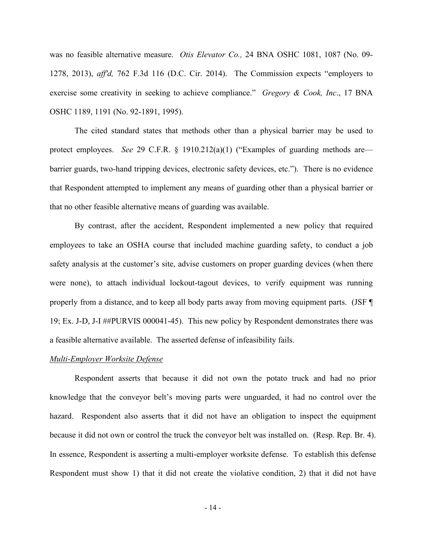was no feasible alternative measure. *Otis Elevator Co.,* 24 BNA OSHC 1081, 1087 (No. 09- 1278, 2013), *aff'd,* 762 F.3d 116 (D.C. Cir. 2014). The Commission expects "employers to exercise some creativity in seeking to achieve compliance." *Gregory & Cook, Inc*., 17 BNA OSHC 1189, 1191 (No. 92-1891, 1995).

The cited standard states that methods other than a physical barrier may be used to protect employees. *See* 29 C.F.R. § 1910.212(a)(1) ("Examples of guarding methods are barrier guards, two-hand tripping devices, electronic safety devices, etc."). There is no evidence that Respondent attempted to implement any means of guarding other than a physical barrier or that no other feasible alternative means of guarding was available.

By contrast, after the accident, Respondent implemented a new policy that required employees to take an OSHA course that included machine guarding safety, to conduct a job safety analysis at the customer's site, advise customers on proper guarding devices (when there were none), to attach individual lockout-tagout devices, to verify equipment was running properly from a distance, and to keep all body parts away from moving equipment parts. (JSF ¶ 19; Ex. J-D, J-I ##PURVIS 000041-45). This new policy by Respondent demonstrates there was a feasible alternative available. The asserted defense of infeasibility fails.

## *Multi-Employer Worksite Defense*

 Respondent asserts that because it did not own the potato truck and had no prior knowledge that the conveyor belt's moving parts were unguarded, it had no control over the hazard. Respondent also asserts that it did not have an obligation to inspect the equipment because it did not own or control the truck the conveyor belt was installed on. (Resp. Rep. Br. 4). In essence, Respondent is asserting a multi-employer worksite defense. To establish this defense Respondent must show 1) that it did not create the violative condition, 2) that it did not have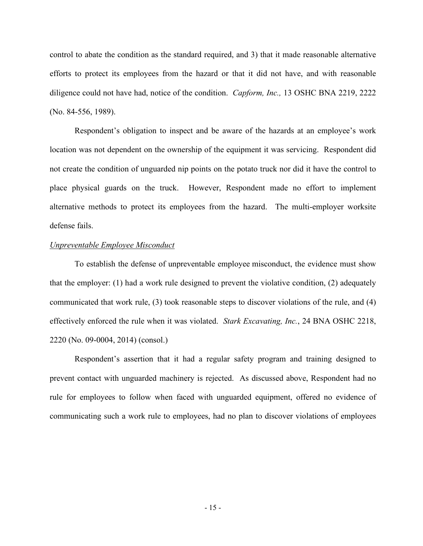control to abate the condition as the standard required, and 3) that it made reasonable alternative efforts to protect its employees from the hazard or that it did not have, and with reasonable diligence could not have had, notice of the condition. *Capform, Inc.,* 13 OSHC BNA 2219, 2222 (No. 84-556, 1989).

 Respondent's obligation to inspect and be aware of the hazards at an employee's work location was not dependent on the ownership of the equipment it was servicing. Respondent did not create the condition of unguarded nip points on the potato truck nor did it have the control to place physical guards on the truck. However, Respondent made no effort to implement alternative methods to protect its employees from the hazard. The multi-employer worksite defense fails.

## *Unpreventable Employee Misconduct*

To establish the defense of unpreventable employee misconduct, the evidence must show that the employer: (1) had a work rule designed to prevent the violative condition, (2) adequately communicated that work rule, (3) took reasonable steps to discover violations of the rule, and (4) effectively enforced the rule when it was violated. *Stark Excavating, Inc.*, 24 BNA OSHC 2218, 2220 (No. 09-0004, 2014) (consol.)

Respondent's assertion that it had a regular safety program and training designed to prevent contact with unguarded machinery is rejected. As discussed above, Respondent had no rule for employees to follow when faced with unguarded equipment, offered no evidence of communicating such a work rule to employees, had no plan to discover violations of employees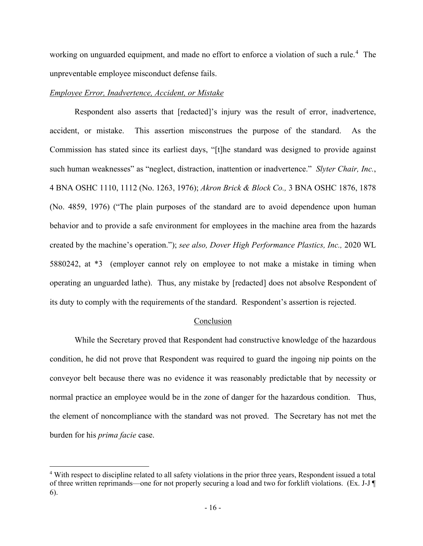working on unguarded equipment, and made no effort to enforce a violation of such a rule. [4](#page-15-0) The unpreventable employee misconduct defense fails.

# *Employee Error, Inadvertence, Accident, or Mistake*

 Respondent also asserts that [redacted]'s injury was the result of error, inadvertence, accident, or mistake. This assertion misconstrues the purpose of the standard. As the Commission has stated since its earliest days, "[t]he standard was designed to provide against such human weaknesses" as "neglect, distraction, inattention or inadvertence." *Slyter Chair, Inc.*, 4 BNA OSHC 1110, 1112 (No. 1263, 1976); *Akron Brick & Block Co.,* 3 BNA OSHC 1876, 1878 (No. 4859, 1976) ("The plain purposes of the standard are to avoid dependence upon human behavior and to provide a safe environment for employees in the machine area from the hazards created by the machine's operation."); *see also, Dover High Performance Plastics, Inc.,* 2020 WL 5880242, at \*3 (employer cannot rely on employee to not make a mistake in timing when operating an unguarded lathe). Thus, any mistake by [redacted] does not absolve Respondent of its duty to comply with the requirements of the standard. Respondent's assertion is rejected.

## Conclusion

 While the Secretary proved that Respondent had constructive knowledge of the hazardous condition, he did not prove that Respondent was required to guard the ingoing nip points on the conveyor belt because there was no evidence it was reasonably predictable that by necessity or normal practice an employee would be in the zone of danger for the hazardous condition. Thus, the element of noncompliance with the standard was not proved. The Secretary has not met the burden for his *prima facie* case.

<span id="page-15-0"></span><sup>&</sup>lt;sup>4</sup> With respect to discipline related to all safety violations in the prior three years, Respondent issued a total of three written reprimands—one for not properly securing a load and two for forklift violations. (Ex. J-J ¶ 6).